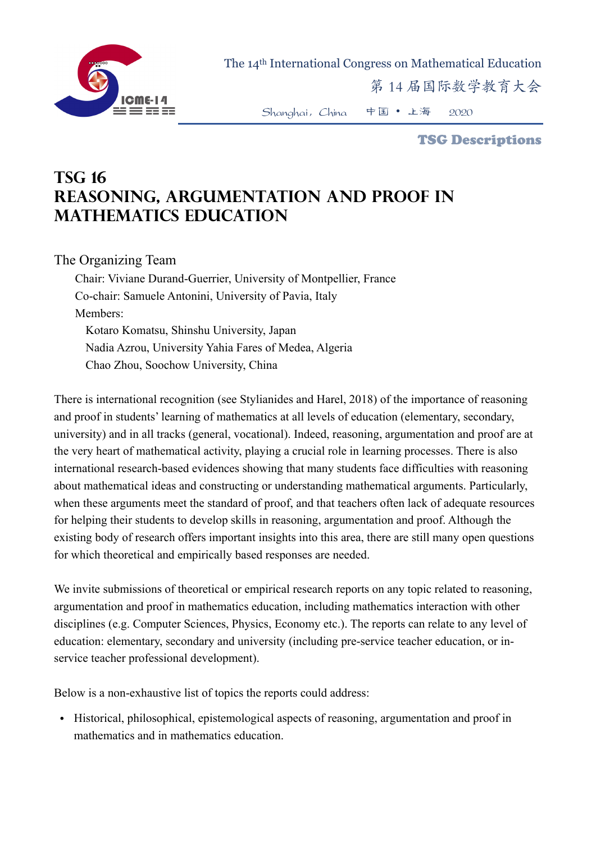

The 14th International Congress on Mathematical Education

第 14 届国际数学教育大会

Shanghai,China 中国 • 上海 2020

TSG Descriptions

## **TSG 16 Reasoning, Argumentation and Proof in Mathematics Education**

## The Organizing Team

Chair: Viviane Durand-Guerrier, University of Montpellier, France Co-chair: Samuele Antonini, University of Pavia, Italy Members: Kotaro Komatsu, Shinshu University, Japan Nadia Azrou, University Yahia Fares of Medea, Algeria Chao Zhou, Soochow University, China

There is international recognition (see Stylianides and Harel, 2018) of the importance of reasoning and proof in students' learning of mathematics at all levels of education (elementary, secondary, university) and in all tracks (general, vocational). Indeed, reasoning, argumentation and proof are at the very heart of mathematical activity, playing a crucial role in learning processes. There is also international research-based evidences showing that many students face difficulties with reasoning about mathematical ideas and constructing or understanding mathematical arguments. Particularly, when these arguments meet the standard of proof, and that teachers often lack of adequate resources for helping their students to develop skills in reasoning, argumentation and proof. Although the existing body of research offers important insights into this area, there are still many open questions for which theoretical and empirically based responses are needed.

We invite submissions of theoretical or empirical research reports on any topic related to reasoning, argumentation and proof in mathematics education, including mathematics interaction with other disciplines (e.g. Computer Sciences, Physics, Economy etc.). The reports can relate to any level of education: elementary, secondary and university (including pre-service teacher education, or inservice teacher professional development).

Below is a non-exhaustive list of topics the reports could address:

• Historical, philosophical, epistemological aspects of reasoning, argumentation and proof in mathematics and in mathematics education.